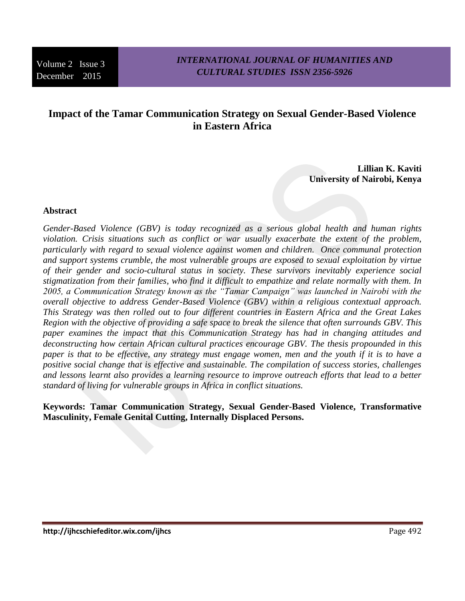# **Impact of the Tamar Communication Strategy on Sexual Gender-Based Violence in Eastern Africa**

**Lillian K. Kaviti University of Nairobi, Kenya**

### **Abstract**

*Gender-Based Violence (GBV) is today recognized as a serious global health and human rights violation. Crisis situations such as conflict or war usually exacerbate the extent of the problem, particularly with regard to sexual violence against women and children. Once communal protection and support systems crumble, the most vulnerable groups are exposed to sexual exploitation by virtue of their gender and socio-cultural status in society. These survivors inevitably experience social stigmatization from their families, who find it difficult to empathize and relate normally with them. In 2005, a Communication Strategy known as the "Tamar Campaign" was launched in Nairobi with the overall objective to address Gender-Based Violence (GBV) within a religious contextual approach. This Strategy was then rolled out to four different countries in Eastern Africa and the Great Lakes Region with the objective of providing a safe space to break the silence that often surrounds GBV. This paper examines the impact that this Communication Strategy has had in changing attitudes and deconstructing how certain African cultural practices encourage GBV. The thesis propounded in this paper is that to be effective, any strategy must engage women, men and the youth if it is to have a positive social change that is effective and sustainable. The compilation of success stories, challenges and lessons learnt also provides a learning resource to improve outreach efforts that lead to a better standard of living for vulnerable groups in Africa in conflict situations.* 

**Keywords: Tamar Communication Strategy, Sexual Gender-Based Violence, Transformative Masculinity, Female Genital Cutting, Internally Displaced Persons.**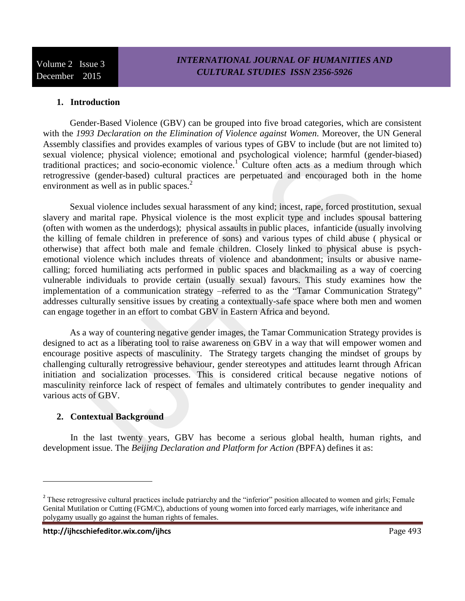#### **1. Introduction**

Gender-Based Violence (GBV) can be grouped into five broad categories, which are consistent with the *1993 Declaration on the Elimination of Violence against Women.* Moreover, the UN General Assembly classifies and provides examples of various types of GBV to include (but are not limited to) sexual violence; physical violence; emotional and psychological violence; harmful (gender-biased) traditional practices; and socio-economic violence.<sup>1</sup> Culture often acts as a medium through which retrogressive (gender-based) cultural practices are perpetuated and encouraged both in the home environment as well as in public spaces.<sup>2</sup>

Sexual violence includes sexual harassment of any kind; incest, rape, forced prostitution, sexual slavery and marital rape. Physical violence is the most explicit type and includes spousal battering (often with women as the underdogs); physical assaults in public places, infanticide (usually involving the killing of female children in preference of sons) and various types of child abuse ( physical or otherwise) that affect both male and female children. Closely linked to physical abuse is psychemotional violence which includes threats of violence and abandonment; insults or abusive namecalling; forced humiliating acts performed in public spaces and blackmailing as a way of coercing vulnerable individuals to provide certain (usually sexual) favours. This study examines how the implementation of a communication strategy –referred to as the "Tamar Communication Strategy" addresses culturally sensitive issues by creating a contextually-safe space where both men and women can engage together in an effort to combat GBV in Eastern Africa and beyond.

As a way of countering negative gender images, the Tamar Communication Strategy provides is designed to act as a liberating tool to raise awareness on GBV in a way that will empower women and encourage positive aspects of masculinity. The Strategy targets changing the mindset of groups by challenging culturally retrogressive behaviour, gender stereotypes and attitudes learnt through African initiation and socialization processes. This is considered critical because negative notions of masculinity reinforce lack of respect of females and ultimately contributes to gender inequality and various acts of GBV.

### **2. Contextual Background**

In the last twenty years, GBV has become a serious global health, human rights, and development issue. The *Beijing Declaration and Platform for Action (*BPFA) defines it as:

<sup>&</sup>lt;sup>2</sup> These retrogressive cultural practices include patriarchy and the "inferior" position allocated to women and girls; Female Genital Mutilation or Cutting (FGM/C), abductions of young women into forced early marriages, wife inheritance and polygamy usually go against the human rights of females.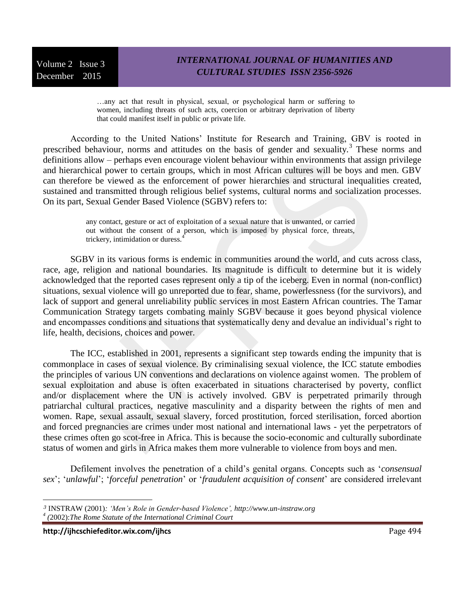…any act that result in physical, sexual, or psychological harm or suffering to women, including threats of such acts, coercion or arbitrary deprivation of liberty that could manifest itself in public or private life.

According to the United Nations' Institute for Research and Training, GBV is rooted in prescribed behaviour, norms and attitudes on the basis of gender and sexuality.<sup>3</sup> These norms and definitions allow – perhaps even encourage violent behaviour within environments that assign privilege and hierarchical power to certain groups, which in most African cultures will be boys and men. GBV can therefore be viewed as the enforcement of power hierarchies and structural inequalities created, sustained and transmitted through religious belief systems, cultural norms and socialization processes. On its part, Sexual Gender Based Violence (SGBV) refers to:

> any contact, gesture or act of exploitation of a sexual nature that is unwanted, or carried out without the consent of a person, which is imposed by physical force, threats, trickery, intimidation or duress.<sup>4</sup>

SGBV in its various forms is endemic in communities around the world, and cuts across class, race, age, religion and national boundaries. Its magnitude is difficult to determine but it is widely acknowledged that the reported cases represent only a tip of the iceberg. Even in normal (non-conflict) situations, sexual violence will go unreported due to fear, shame, powerlessness (for the survivors), and lack of support and general unreliability public services in most Eastern African countries. The Tamar Communication Strategy targets combating mainly SGBV because it goes beyond physical violence and encompasses conditions and situations that systematically deny and devalue an individual's right to life, health, decisions, choices and power.

The ICC, established in 2001, represents a significant step towards ending the impunity that is commonplace in cases of sexual violence. By criminalising sexual violence, the ICC statute embodies the principles of various UN conventions and declarations on violence against women. The problem of sexual exploitation and abuse is often exacerbated in situations characterised by poverty, conflict and/or displacement where the UN is actively involved. GBV is perpetrated primarily through patriarchal cultural practices, negative masculinity and a disparity between the rights of men and women. Rape, sexual assault, sexual slavery, forced prostitution, forced sterilisation, forced abortion and forced pregnancies are crimes under most national and international laws - yet the perpetrators of these crimes often go scot-free in Africa. This is because the socio-economic and culturally subordinate status of women and girls in Africa makes them more vulnerable to violence from boys and men.

Defilement involves the penetration of a child's genital organs. Concepts such as '*consensual sex*'; '*unlawful*'; '*forceful penetration*' or '*fraudulent acquisition of consent*' are considered irrelevant

**http://ijhcschiefeditor.wix.com/ijhcs** Page 494

*<sup>3</sup>* INSTRAW (2001)*: 'Men's Role in Gender-based Violence', http://www.un-instraw.org 4 (*2002):*The Rome Statute of the International Criminal Court*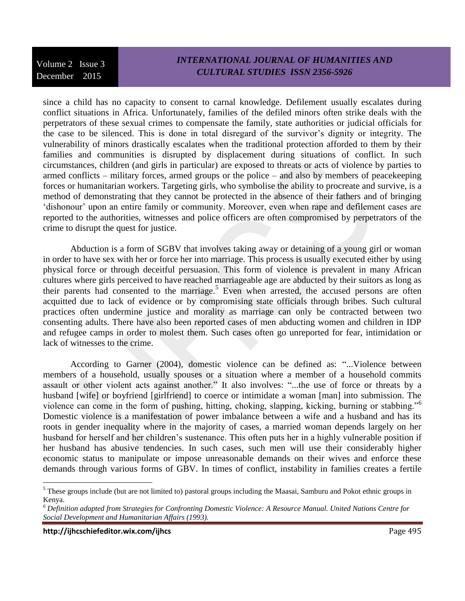### *INTERNATIONAL JOURNAL OF HUMANITIES AND CULTURAL STUDIES ISSN 2356-5926*

since a child has no capacity to consent to carnal knowledge. Defilement usually escalates during conflict situations in Africa. Unfortunately, families of the defiled minors often strike deals with the perpetrators of these sexual crimes to compensate the family, state authorities or judicial officials for the case to be silenced. This is done in total disregard of the survivor's dignity or integrity. The vulnerability of minors drastically escalates when the traditional protection afforded to them by their families and communities is disrupted by displacement during situations of conflict. In such circumstances, children (and girls in particular) are exposed to threats or acts of violence by parties to armed conflicts – military forces, armed groups or the police – and also by members of peacekeeping forces or humanitarian workers. Targeting girls, who symbolise the ability to procreate and survive, is a method of demonstrating that they cannot be protected in the absence of their fathers and of bringing 'dishonour' upon an entire family or community. Moreover, even when rape and defilement cases are reported to the authorities, witnesses and police officers are often compromised by perpetrators of the crime to disrupt the quest for justice.

Abduction is a form of SGBV that involves taking away or detaining of a young girl or woman in order to have sex with her or force her into marriage. This process is usually executed either by using physical force or through deceitful persuasion. This form of violence is prevalent in many African cultures where girls perceived to have reached marriageable age are abducted by their suitors as long as their parents had consented to the marriage.<sup>5</sup> Even when arrested, the accused persons are often acquitted due to lack of evidence or by compromising state officials through bribes. Such cultural practices often undermine justice and morality as marriage can only be contracted between two consenting adults. There have also been reported cases of men abducting women and children in IDP and refugee camps in order to molest them. Such cases often go unreported for fear, intimidation or lack of witnesses to the crime.

According to Garner (2004), domestic violence can be defined as: "...Violence between members of a household, usually spouses or a situation where a member of a household commits assault or other violent acts against another." It also involves: "...the use of force or threats by a husband [wife] or boyfriend [girlfriend] to coerce or intimidate a woman [man] into submission. The violence can come in the form of pushing, hitting, choking, slapping, kicking, burning or stabbing."<sup>6</sup> Domestic violence is a manifestation of power imbalance between a wife and a husband and has its roots in gender inequality where in the majority of cases, a married woman depends largely on her husband for herself and her children's sustenance. This often puts her in a highly vulnerable position if her husband has abusive tendencies. In such cases, such men will use their considerably higher economic status to manipulate or impose unreasonable demands on their wives and enforce these demands through various forms of GBV. In times of conflict, instability in families creates a fertile

 $<sup>5</sup>$  These groups include (but are not limited to) pastoral groups including the Maasai, Samburu and Pokot ethnic groups in</sup> Kenya.

*<sup>6</sup> Definition adapted from Strategies for Confronting Domestic Violence: A Resource Manual. United Nations Centre for Social Development and Humanitarian Affairs (1993).*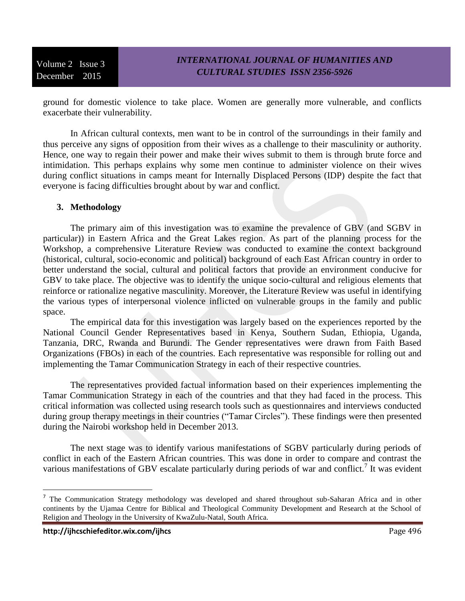ground for domestic violence to take place. Women are generally more vulnerable, and conflicts exacerbate their vulnerability.

In African cultural contexts, men want to be in control of the surroundings in their family and thus perceive any signs of opposition from their wives as a challenge to their masculinity or authority. Hence, one way to regain their power and make their wives submit to them is through brute force and intimidation. This perhaps explains why some men continue to administer violence on their wives during conflict situations in camps meant for Internally Displaced Persons (IDP) despite the fact that everyone is facing difficulties brought about by war and conflict.

#### **3. Methodology**

The primary aim of this investigation was to examine the prevalence of GBV (and SGBV in particular)) in Eastern Africa and the Great Lakes region. As part of the planning process for the Workshop, a comprehensive Literature Review was conducted to examine the context background (historical, cultural, socio-economic and political) background of each East African country in order to better understand the social, cultural and political factors that provide an environment conducive for GBV to take place. The objective was to identify the unique socio-cultural and religious elements that reinforce or rationalize negative masculinity. Moreover, the Literature Review was useful in identifying the various types of interpersonal violence inflicted on vulnerable groups in the family and public space.

The empirical data for this investigation was largely based on the experiences reported by the National Council Gender Representatives based in Kenya, Southern Sudan, Ethiopia, Uganda, Tanzania, DRC, Rwanda and Burundi. The Gender representatives were drawn from Faith Based Organizations (FBOs) in each of the countries. Each representative was responsible for rolling out and implementing the Tamar Communication Strategy in each of their respective countries.

The representatives provided factual information based on their experiences implementing the Tamar Communication Strategy in each of the countries and that they had faced in the process. This critical information was collected using research tools such as questionnaires and interviews conducted during group therapy meetings in their countries ("Tamar Circles"). These findings were then presented during the Nairobi workshop held in December 2013.

The next stage was to identify various manifestations of SGBV particularly during periods of conflict in each of the Eastern African countries. This was done in order to compare and contrast the various manifestations of GBV escalate particularly during periods of war and conflict.<sup>7</sup> It was evident

l

<sup>&</sup>lt;sup>7</sup> The Communication Strategy methodology was developed and shared throughout sub-Saharan Africa and in other continents by the Ujamaa Centre for Biblical and Theological Community Development and Research at the School of Religion and Theology in the University of KwaZulu-Natal, South Africa.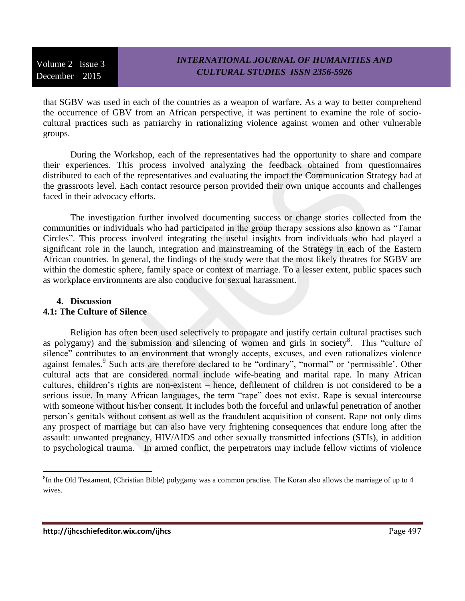### *INTERNATIONAL JOURNAL OF HUMANITIES AND CULTURAL STUDIES ISSN 2356-5926*

that SGBV was used in each of the countries as a weapon of warfare. As a way to better comprehend the occurrence of GBV from an African perspective, it was pertinent to examine the role of sociocultural practices such as patriarchy in rationalizing violence against women and other vulnerable groups.

During the Workshop, each of the representatives had the opportunity to share and compare their experiences. This process involved analyzing the feedback obtained from questionnaires distributed to each of the representatives and evaluating the impact the Communication Strategy had at the grassroots level. Each contact resource person provided their own unique accounts and challenges faced in their advocacy efforts.

The investigation further involved documenting success or change stories collected from the communities or individuals who had participated in the group therapy sessions also known as "Tamar Circles". This process involved integrating the useful insights from individuals who had played a significant role in the launch, integration and mainstreaming of the Strategy in each of the Eastern African countries. In general, the findings of the study were that the most likely theatres for SGBV are within the domestic sphere, family space or context of marriage. To a lesser extent, public spaces such as workplace environments are also conducive for sexual harassment.

#### **4. Discussion 4.1: The Culture of Silence**

Religion has often been used selectively to propagate and justify certain cultural practises such as polygamy) and the submission and silencing of women and girls in society<sup>8</sup>. This "culture of silence" contributes to an environment that wrongly accepts, excuses, and even rationalizes violence against females.<sup>9</sup> Such acts are therefore declared to be "ordinary", "normal" or 'permissible'. Other cultural acts that are considered normal include wife-beating and marital rape. In many African cultures, children's rights are non-existent – hence, defilement of children is not considered to be a serious issue. In many African languages, the term "rape" does not exist. Rape is sexual intercourse with someone without his/her consent. It includes both the forceful and unlawful penetration of another person's genitals without consent as well as the fraudulent acquisition of consent. Rape not only dims any prospect of marriage but can also have very frightening consequences that endure long after the assault: unwanted pregnancy, HIV/AIDS and other sexually transmitted infections (STIs), in addition to psychological trauma. In armed conflict, the perpetrators may include fellow victims of violence

 ${}^{8}$ In the Old Testament, (Christian Bible) polygamy was a common practise. The Koran also allows the marriage of up to 4 wives.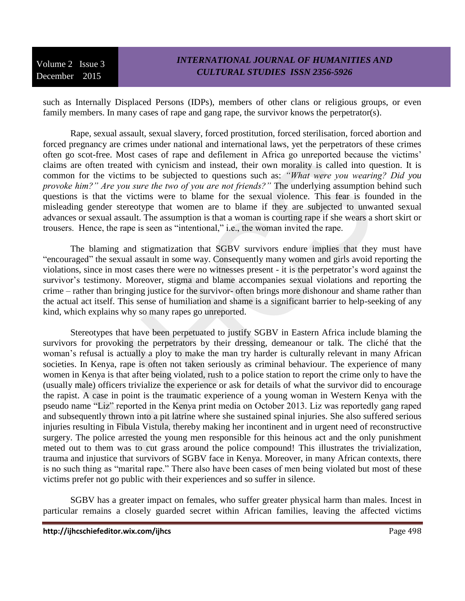such as Internally Displaced Persons (IDPs), members of other clans or religious groups, or even family members. In many cases of rape and gang rape, the survivor knows the perpetrator(s).

Rape, sexual assault, sexual slavery, forced prostitution, forced sterilisation, forced abortion and forced pregnancy are crimes under national and international laws, yet the perpetrators of these crimes often go scot-free. Most cases of rape and defilement in Africa go unreported because the victims' claims are often treated with cynicism and instead, their own morality is called into question. It is common for the victims to be subjected to questions such as: *"What were you wearing? Did you provoke him?" Are you sure the two of you are not friends?"* The underlying assumption behind such questions is that the victims were to blame for the sexual violence. This fear is founded in the misleading gender stereotype that women are to blame if they are subjected to unwanted sexual advances or sexual assault. The assumption is that a woman is courting rape if she wears a short skirt or trousers. Hence, the rape is seen as "intentional," i.e., the woman invited the rape.

The blaming and stigmatization that SGBV survivors endure implies that they must have "encouraged" the sexual assault in some way. Consequently many women and girls avoid reporting the violations, since in most cases there were no witnesses present - it is the perpetrator's word against the survivor's testimony. Moreover, stigma and blame accompanies sexual violations and reporting the crime – rather than bringing justice for the survivor- often brings more dishonour and shame rather than the actual act itself. This sense of humiliation and shame is a significant barrier to help-seeking of any kind, which explains why so many rapes go unreported.

Stereotypes that have been perpetuated to justify SGBV in Eastern Africa include blaming the survivors for provoking the perpetrators by their dressing, demeanour or talk. The cliché that the woman's refusal is actually a ploy to make the man try harder is culturally relevant in many African societies. In Kenya, rape is often not taken seriously as criminal behaviour. The experience of many women in Kenya is that after being violated, rush to a police station to report the crime only to have the (usually male) officers trivialize the experience or ask for details of what the survivor did to encourage the rapist. A case in point is the traumatic experience of a young woman in Western Kenya with the pseudo name "Liz" reported in the Kenya print media on October 2013. Liz was reportedly gang raped and subsequently thrown into a pit latrine where she sustained spinal injuries. She also suffered serious injuries resulting in Fibula Vistula, thereby making her incontinent and in urgent need of reconstructive surgery. The police arrested the young men responsible for this heinous act and the only punishment meted out to them was to cut grass around the police compound! This illustrates the trivialization, trauma and injustice that survivors of SGBV face in Kenya. Moreover, in many African contexts, there is no such thing as "marital rape." There also have been cases of men being violated but most of these victims prefer not go public with their experiences and so suffer in silence.

SGBV has a greater impact on females, who suffer greater physical harm than males. Incest in particular remains a closely guarded secret within African families, leaving the affected victims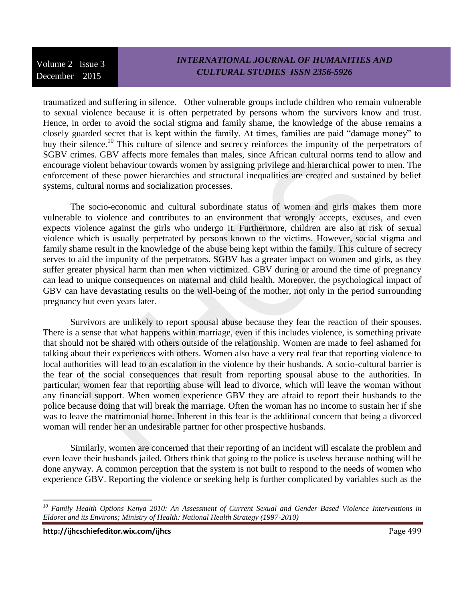### *INTERNATIONAL JOURNAL OF HUMANITIES AND CULTURAL STUDIES ISSN 2356-5926*

traumatized and suffering in silence. Other vulnerable groups include children who remain vulnerable to sexual violence because it is often perpetrated by persons whom the survivors know and trust. Hence, in order to avoid the social stigma and family shame, the knowledge of the abuse remains a closely guarded secret that is kept within the family. At times, families are paid "damage money" to buy their silence.<sup>10</sup> This culture of silence and secrecy reinforces the impunity of the perpetrators of SGBV crimes. GBV affects more females than males, since African cultural norms tend to allow and encourage violent behaviour towards women by assigning privilege and hierarchical power to men. The enforcement of these power hierarchies and structural inequalities are created and sustained by belief systems, cultural norms and socialization processes.

The socio-economic and cultural subordinate status of women and girls makes them more vulnerable to violence and contributes to an environment that wrongly accepts, excuses, and even expects violence against the girls who undergo it. Furthermore, children are also at risk of sexual violence which is usually perpetrated by persons known to the victims. However, social stigma and family shame result in the knowledge of the abuse being kept within the family. This culture of secrecy serves to aid the impunity of the perpetrators. SGBV has a greater impact on women and girls, as they suffer greater physical harm than men when victimized. GBV during or around the time of pregnancy can lead to unique consequences on maternal and child health. Moreover, the psychological impact of GBV can have devastating results on the well-being of the mother, not only in the period surrounding pregnancy but even years later.

Survivors are unlikely to report spousal abuse because they fear the reaction of their spouses. There is a sense that what happens within marriage, even if this includes violence, is something private that should not be shared with others outside of the relationship. Women are made to feel ashamed for talking about their experiences with others. Women also have a very real fear that reporting violence to local authorities will lead to an escalation in the violence by their husbands. A socio-cultural barrier is the fear of the social consequences that result from reporting spousal abuse to the authorities. In particular, women fear that reporting abuse will lead to divorce, which will leave the woman without any financial support. When women experience GBV they are afraid to report their husbands to the police because doing that will break the marriage. Often the woman has no income to sustain her if she was to leave the matrimonial home. Inherent in this fear is the additional concern that being a divorced woman will render her an undesirable partner for other prospective husbands.

Similarly, women are concerned that their reporting of an incident will escalate the problem and even leave their husbands jailed. Others think that going to the police is useless because nothing will be done anyway. A common perception that the system is not built to respond to the needs of women who experience GBV. Reporting the violence or seeking help is further complicated by variables such as the

 $\overline{a}$ 

*<sup>10</sup> Family Health Options Kenya 2010: An Assessment of Current Sexual and Gender Based Violence Interventions in Eldoret and its Environs; Ministry of Health: National Health Strategy (1997-2010)*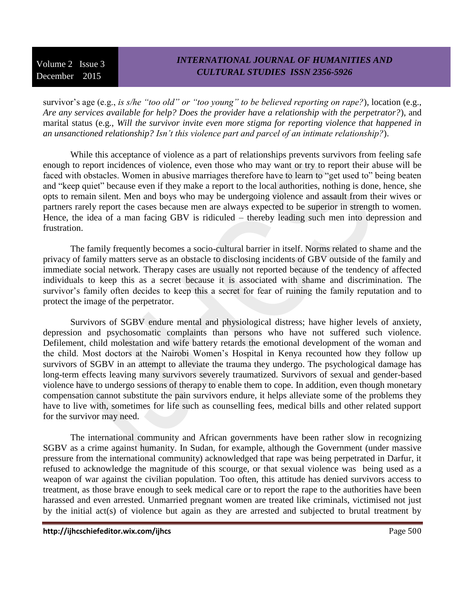# *INTERNATIONAL JOURNAL OF HUMANITIES AND CULTURAL STUDIES ISSN 2356-5926*

survivor's age (e.g., *is s/he "too old" or "too young" to be believed reporting on rape?*), location (e.g., *Are any services available for help? Does the provider have a relationship with the perpetrator?*), and marital status (e.g., *Will the survivor invite even more stigma for reporting violence that happened in an unsanctioned relationship? Isn't this violence part and parcel of an intimate relationship?*).

While this acceptance of violence as a part of relationships prevents survivors from feeling safe enough to report incidences of violence, even those who may want or try to report their abuse will be faced with obstacles. Women in abusive marriages therefore have to learn to "get used to" being beaten and "keep quiet" because even if they make a report to the local authorities, nothing is done, hence, she opts to remain silent. Men and boys who may be undergoing violence and assault from their wives or partners rarely report the cases because men are always expected to be superior in strength to women. Hence, the idea of a man facing GBV is ridiculed – thereby leading such men into depression and frustration.

The family frequently becomes a socio-cultural barrier in itself. Norms related to shame and the privacy of family matters serve as an obstacle to disclosing incidents of GBV outside of the family and immediate social network. Therapy cases are usually not reported because of the tendency of affected individuals to keep this as a secret because it is associated with shame and discrimination. The survivor's family often decides to keep this a secret for fear of ruining the family reputation and to protect the image of the perpetrator.

Survivors of SGBV endure mental and physiological distress; have higher levels of anxiety, depression and psychosomatic complaints than persons who have not suffered such violence. Defilement, child molestation and wife battery retards the emotional development of the woman and the child. Most doctors at the Nairobi Women's Hospital in Kenya recounted how they follow up survivors of SGBV in an attempt to alleviate the trauma they undergo. The psychological damage has long-term effects leaving many survivors severely traumatized. Survivors of sexual and gender-based violence have to undergo sessions of therapy to enable them to cope. In addition, even though monetary compensation cannot substitute the pain survivors endure, it helps alleviate some of the problems they have to live with, sometimes for life such as counselling fees, medical bills and other related support for the survivor may need.

The international community and African governments have been rather slow in recognizing SGBV as a crime against humanity. In Sudan, for example, although the Government (under massive pressure from the international community) acknowledged that rape was being perpetrated in Darfur, it refused to acknowledge the magnitude of this scourge, or that sexual violence was being used as a weapon of war against the civilian population. Too often, this attitude has denied survivors access to treatment, as those brave enough to seek medical care or to report the rape to the authorities have been harassed and even arrested. Unmarried pregnant women are treated like criminals, victimised not just by the initial act(s) of violence but again as they are arrested and subjected to brutal treatment by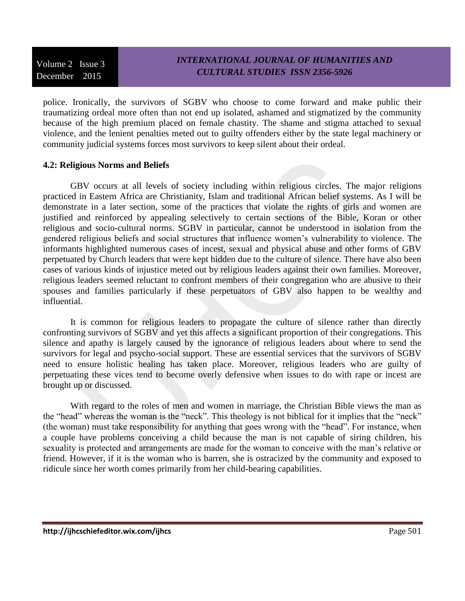# *INTERNATIONAL JOURNAL OF HUMANITIES AND CULTURAL STUDIES ISSN 2356-5926*

police. Ironically, the survivors of SGBV who choose to come forward and make public their traumatizing ordeal more often than not end up isolated, ashamed and stigmatized by the community because of the high premium placed on female chastity. The shame and stigma attached to sexual violence, and the lenient penalties meted out to guilty offenders either by the state legal machinery or community judicial systems forces most survivors to keep silent about their ordeal.

### **4.2: Religious Norms and Beliefs**

GBV occurs at all levels of society including within religious circles. The major religions practiced in Eastern Africa are Christianity, Islam and traditional African belief systems. As I will be demonstrate in a later section, some of the practices that violate the rights of girls and women are justified and reinforced by appealing selectively to certain sections of the Bible, Koran or other religious and socio-cultural norms. SGBV in particular, cannot be understood in isolation from the gendered religious beliefs and social structures that influence women's vulnerability to violence. The informants highlighted numerous cases of incest, sexual and physical abuse and other forms of GBV perpetuated by Church leaders that were kept hidden due to the culture of silence. There have also been cases of various kinds of injustice meted out by religious leaders against their own families. Moreover, religious leaders seemed reluctant to confront members of their congregation who are abusive to their spouses and families particularly if these perpetuators of GBV also happen to be wealthy and influential.

It is common for religious leaders to propagate the culture of silence rather than directly confronting survivors of SGBV and yet this affects a significant proportion of their congregations. This silence and apathy is largely caused by the ignorance of religious leaders about where to send the survivors for legal and psycho-social support. These are essential services that the survivors of SGBV need to ensure holistic healing has taken place. Moreover, religious leaders who are guilty of perpetuating these vices tend to become overly defensive when issues to do with rape or incest are brought up or discussed.

With regard to the roles of men and women in marriage, the Christian Bible views the man as the "head" whereas the woman is the "neck". This theology is not biblical for it implies that the "neck" (the woman) must take responsibility for anything that goes wrong with the "head". For instance, when a couple have problems conceiving a child because the man is not capable of siring children, his sexuality is protected and arrangements are made for the woman to conceive with the man's relative or friend. However, if it is the woman who is barren, she is ostracized by the community and exposed to ridicule since her worth comes primarily from her child-bearing capabilities.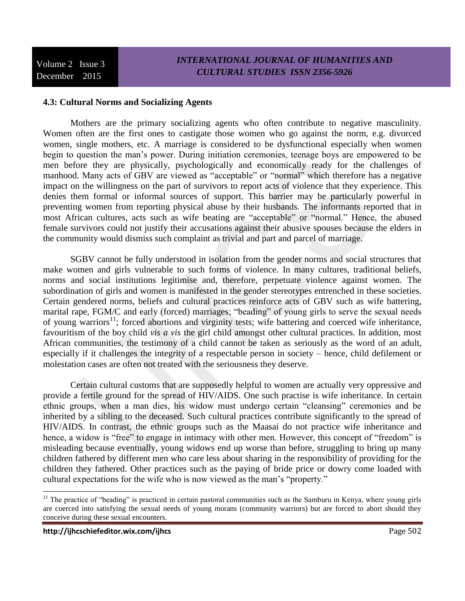#### **4.3: Cultural Norms and Socializing Agents**

Mothers are the primary socializing agents who often contribute to negative masculinity. Women often are the first ones to castigate those women who go against the norm, e.g. divorced women, single mothers, etc. A marriage is considered to be dysfunctional especially when women begin to question the man's power. During initiation ceremonies, teenage boys are empowered to be men before they are physically, psychologically and economically ready for the challenges of manhood. Many acts of GBV are viewed as "acceptable" or "normal" which therefore has a negative impact on the willingness on the part of survivors to report acts of violence that they experience. This denies them formal or informal sources of support. This barrier may be particularly powerful in preventing women from reporting physical abuse by their husbands. The informants reported that in most African cultures, acts such as wife beating are "acceptable" or "normal." Hence, the abused female survivors could not justify their accusations against their abusive spouses because the elders in the community would dismiss such complaint as trivial and part and parcel of marriage.

SGBV cannot be fully understood in isolation from the gender norms and social structures that make women and girls vulnerable to such forms of violence. In many cultures, traditional beliefs, norms and social institutions legitimise and, therefore, perpetuate violence against women. The subordination of girls and women is manifested in the gender stereotypes entrenched in these societies. Certain gendered norms, beliefs and cultural practices reinforce acts of GBV such as wife battering, marital rape, FGM/C and early (forced) marriages; "beading" of young girls to serve the sexual needs of young warriors<sup>11</sup>; forced abortions and virginity tests; wife battering and coerced wife inheritance, favouritism of the boy child *vis a vis* the girl child amongst other cultural practices. In addition, most African communities, the testimony of a child cannot be taken as seriously as the word of an adult, especially if it challenges the integrity of a respectable person in society – hence, child defilement or molestation cases are often not treated with the seriousness they deserve.

Certain cultural customs that are supposedly helpful to women are actually very oppressive and provide a fertile ground for the spread of HIV/AIDS. One such practise is wife inheritance. In certain ethnic groups, when a man dies, his widow must undergo certain "cleansing" ceremonies and be inherited by a sibling to the deceased. Such cultural practices contribute significantly to the spread of HIV/AIDS. In contrast, the ethnic groups such as the Maasai do not practice wife inheritance and hence, a widow is "free" to engage in intimacy with other men. However, this concept of "freedom" is misleading because eventually, young widows end up worse than before, struggling to bring up many children fathered by different men who care less about sharing in the responsibility of providing for the children they fathered. Other practices such as the paying of bride price or dowry come loaded with cultural expectations for the wife who is now viewed as the man's "property."

<sup>&</sup>lt;sup>11</sup> The practice of "beading" is practiced in certain pastoral communities such as the Samburu in Kenya, where young girls are coerced into satisfying the sexual needs of young morans (community warriors) but are forced to abort should they conceive during these sexual encounters.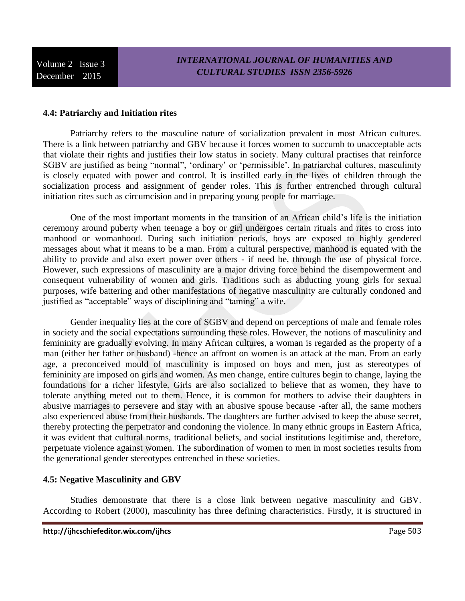#### **4.4: Patriarchy and Initiation rites**

Patriarchy refers to the masculine nature of socialization prevalent in most African cultures. There is a link between patriarchy and GBV because it forces women to succumb to unacceptable acts that violate their rights and justifies their low status in society. Many cultural practises that reinforce SGBV are justified as being "normal", 'ordinary' or 'permissible'. In patriarchal cultures, masculinity is closely equated with power and control. It is instilled early in the lives of children through the socialization process and assignment of gender roles. This is further entrenched through cultural initiation rites such as circumcision and in preparing young people for marriage.

One of the most important moments in the transition of an African child's life is the initiation ceremony around puberty when teenage a boy or girl undergoes certain rituals and rites to cross into manhood or womanhood. During such initiation periods, boys are exposed to highly gendered messages about what it means to be a man. From a cultural perspective, manhood is equated with the ability to provide and also exert power over others - if need be, through the use of physical force. However, such expressions of masculinity are a major driving force behind the disempowerment and consequent vulnerability of women and girls. Traditions such as abducting young girls for sexual purposes, wife battering and other manifestations of negative masculinity are culturally condoned and justified as "acceptable" ways of disciplining and "taming" a wife.

Gender inequality lies at the core of SGBV and depend on perceptions of male and female roles in society and the social expectations surrounding these roles. However, the notions of masculinity and femininity are gradually evolving. In many African cultures, a woman is regarded as the property of a man (either her father or husband) -hence an affront on women is an attack at the man. From an early age, a preconceived mould of masculinity is imposed on boys and men, just as stereotypes of femininity are imposed on girls and women. As men change, entire cultures begin to change, laying the foundations for a richer lifestyle. Girls are also socialized to believe that as women, they have to tolerate anything meted out to them. Hence, it is common for mothers to advise their daughters in abusive marriages to persevere and stay with an abusive spouse because -after all, the same mothers also experienced abuse from their husbands. The daughters are further advised to keep the abuse secret, thereby protecting the perpetrator and condoning the violence. In many ethnic groups in Eastern Africa, it was evident that cultural norms, traditional beliefs, and social institutions legitimise and, therefore, perpetuate violence against women. The subordination of women to men in most societies results from the generational gender stereotypes entrenched in these societies.

#### **4.5: Negative Masculinity and GBV**

Studies demonstrate that there is a close link between negative masculinity and GBV. According to Robert (2000), masculinity has three defining characteristics. Firstly, it is structured in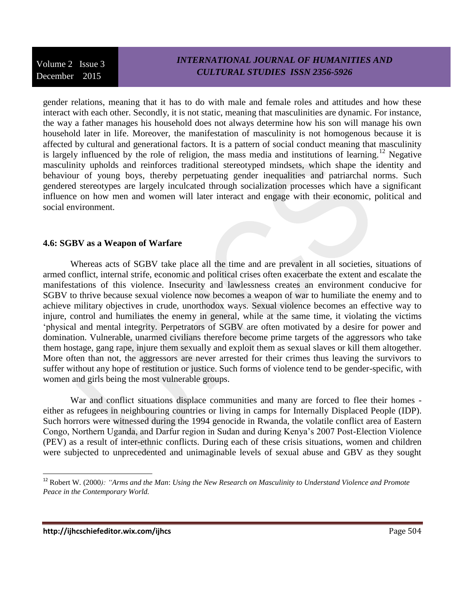gender relations, meaning that it has to do with male and female roles and attitudes and how these interact with each other. Secondly, it is not static, meaning that masculinities are dynamic. For instance, the way a father manages his household does not always determine how his son will manage his own household later in life. Moreover, the manifestation of masculinity is not homogenous because it is affected by cultural and generational factors. It is a pattern of social conduct meaning that masculinity is largely influenced by the role of religion, the mass media and institutions of learning.<sup>12</sup> Negative masculinity upholds and reinforces traditional stereotyped mindsets, which shape the identity and behaviour of young boys, thereby perpetuating gender inequalities and patriarchal norms. Such gendered stereotypes are largely inculcated through socialization processes which have a significant influence on how men and women will later interact and engage with their economic, political and social environment.

#### **4.6: SGBV as a Weapon of Warfare**

Whereas acts of SGBV take place all the time and are prevalent in all societies, situations of armed conflict, internal strife, economic and political crises often exacerbate the extent and escalate the manifestations of this violence. Insecurity and lawlessness creates an environment conducive for SGBV to thrive because sexual violence now becomes a weapon of war to humiliate the enemy and to achieve military objectives in crude, unorthodox ways. Sexual violence becomes an effective way to injure, control and humiliates the enemy in general, while at the same time, it violating the victims 'physical and mental integrity. Perpetrators of SGBV are often motivated by a desire for power and domination. Vulnerable, unarmed civilians therefore become prime targets of the aggressors who take them hostage, gang rape, injure them sexually and exploit them as sexual slaves or kill them altogether. More often than not, the aggressors are never arrested for their crimes thus leaving the survivors to suffer without any hope of restitution or justice. Such forms of violence tend to be gender-specific, with women and girls being the most vulnerable groups.

War and conflict situations displace communities and many are forced to flee their homes either as refugees in neighbouring countries or living in camps for Internally Displaced People (IDP). Such horrors were witnessed during the 1994 genocide in Rwanda, the volatile conflict area of Eastern Congo, Northern Uganda, and Darfur region in Sudan and during Kenya's 2007 Post-Election Violence (PEV) as a result of inter-ethnic conflicts. During each of these crisis situations, women and children were subjected to unprecedented and unimaginable levels of sexual abuse and GBV as they sought

l

<sup>12</sup> Robert W*.* (2000*): "Arms and the Man*: *Using the New Research on Masculinity to Understand Violence and Promote Peace in the Contemporary World.*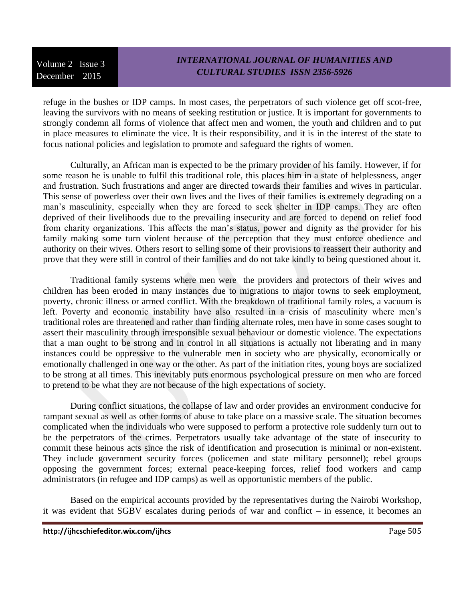### *INTERNATIONAL JOURNAL OF HUMANITIES AND CULTURAL STUDIES ISSN 2356-5926*

refuge in the bushes or IDP camps. In most cases, the perpetrators of such violence get off scot-free, leaving the survivors with no means of seeking restitution or justice. It is important for governments to strongly condemn all forms of violence that affect men and women, the youth and children and to put in place measures to eliminate the vice. It is their responsibility, and it is in the interest of the state to focus national policies and legislation to promote and safeguard the rights of women.

Culturally, an African man is expected to be the primary provider of his family. However, if for some reason he is unable to fulfil this traditional role, this places him in a state of helplessness, anger and frustration. Such frustrations and anger are directed towards their families and wives in particular. This sense of powerless over their own lives and the lives of their families is extremely degrading on a man's masculinity, especially when they are forced to seek shelter in IDP camps. They are often deprived of their livelihoods due to the prevailing insecurity and are forced to depend on relief food from charity organizations. This affects the man's status, power and dignity as the provider for his family making some turn violent because of the perception that they must enforce obedience and authority on their wives. Others resort to selling some of their provisions to reassert their authority and prove that they were still in control of their families and do not take kindly to being questioned about it.

Traditional family systems where men were the providers and protectors of their wives and children has been eroded in many instances due to migrations to major towns to seek employment, poverty, chronic illness or armed conflict. With the breakdown of traditional family roles, a vacuum is left. Poverty and economic instability have also resulted in a crisis of masculinity where men's traditional roles are threatened and rather than finding alternate roles, men have in some cases sought to assert their masculinity through irresponsible sexual behaviour or domestic violence. The expectations that a man ought to be strong and in control in all situations is actually not liberating and in many instances could be oppressive to the vulnerable men in society who are physically, economically or emotionally challenged in one way or the other. As part of the initiation rites, young boys are socialized to be strong at all times. This inevitably puts enormous psychological pressure on men who are forced to pretend to be what they are not because of the high expectations of society.

During conflict situations, the collapse of law and order provides an environment conducive for rampant sexual as well as other forms of abuse to take place on a massive scale. The situation becomes complicated when the individuals who were supposed to perform a protective role suddenly turn out to be the perpetrators of the crimes. Perpetrators usually take advantage of the state of insecurity to commit these heinous acts since the risk of identification and prosecution is minimal or non-existent. They include government security forces (policemen and state military personnel); rebel groups opposing the government forces; external peace-keeping forces, relief food workers and camp administrators (in refugee and IDP camps) as well as opportunistic members of the public.

Based on the empirical accounts provided by the representatives during the Nairobi Workshop, it was evident that SGBV escalates during periods of war and conflict – in essence, it becomes an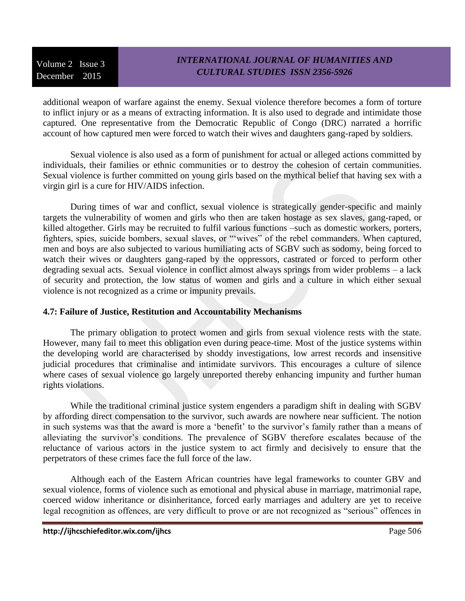# *INTERNATIONAL JOURNAL OF HUMANITIES AND CULTURAL STUDIES ISSN 2356-5926*

additional weapon of warfare against the enemy. Sexual violence therefore becomes a form of torture to inflict injury or as a means of extracting information. It is also used to degrade and intimidate those captured. One representative from the Democratic Republic of Congo (DRC) narrated a horrific account of how captured men were forced to watch their wives and daughters gang-raped by soldiers.

Sexual violence is also used as a form of punishment for actual or alleged actions committed by individuals, their families or ethnic communities or to destroy the cohesion of certain communities. Sexual violence is further committed on young girls based on the mythical belief that having sex with a virgin girl is a cure for HIV/AIDS infection.

During times of war and conflict, sexual violence is strategically gender-specific and mainly targets the vulnerability of women and girls who then are taken hostage as sex slaves, gang-raped, or killed altogether. Girls may be recruited to fulfil various functions –such as domestic workers, porters, fighters, spies, suicide bombers, sexual slaves, or "'wives" of the rebel commanders. When captured, men and boys are also subjected to various humiliating acts of SGBV such as sodomy, being forced to watch their wives or daughters gang-raped by the oppressors, castrated or forced to perform other degrading sexual acts. Sexual violence in conflict almost always springs from wider problems – a lack of security and protection, the low status of women and girls and a culture in which either sexual violence is not recognized as a crime or impunity prevails.

### **4.7: Failure of Justice, Restitution and Accountability Mechanisms**

The primary obligation to protect women and girls from sexual violence rests with the state. However, many fail to meet this obligation even during peace-time. Most of the justice systems within the developing world are characterised by shoddy investigations, low arrest records and insensitive judicial procedures that criminalise and intimidate survivors. This encourages a culture of silence where cases of sexual violence go largely unreported thereby enhancing impunity and further human rights violations.

While the traditional criminal justice system engenders a paradigm shift in dealing with SGBV by affording direct compensation to the survivor, such awards are nowhere near sufficient. The notion in such systems was that the award is more a 'benefit' to the survivor's family rather than a means of alleviating the survivor's conditions. The prevalence of SGBV therefore escalates because of the reluctance of various actors in the justice system to act firmly and decisively to ensure that the perpetrators of these crimes face the full force of the law.

Although each of the Eastern African countries have legal frameworks to counter GBV and sexual violence, forms of violence such as emotional and physical abuse in marriage, matrimonial rape, coerced widow inheritance or disinheritance, forced early marriages and adultery are yet to receive legal recognition as offences, are very difficult to prove or are not recognized as "serious" offences in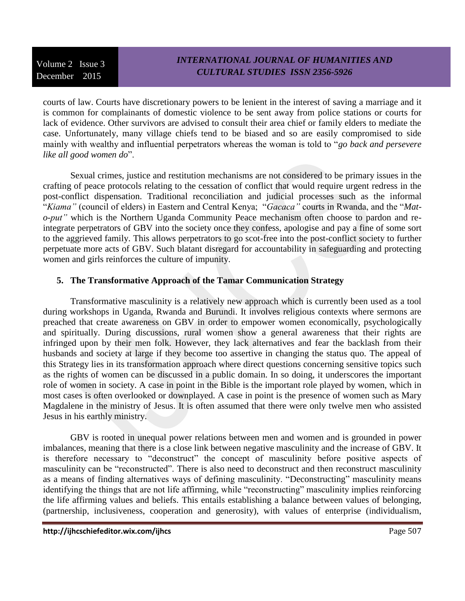# *INTERNATIONAL JOURNAL OF HUMANITIES AND CULTURAL STUDIES ISSN 2356-5926*

courts of law. Courts have discretionary powers to be lenient in the interest of saving a marriage and it is common for complainants of domestic violence to be sent away from police stations or courts for lack of evidence. Other survivors are advised to consult their area chief or family elders to mediate the case. Unfortunately, many village chiefs tend to be biased and so are easily compromised to side mainly with wealthy and influential perpetrators whereas the woman is told to "*go back and persevere like all good women do*".

Sexual crimes, justice and restitution mechanisms are not considered to be primary issues in the crafting of peace protocols relating to the cessation of conflict that would require urgent redress in the post-conflict dispensation. Traditional reconciliation and judicial processes such as the informal "*Kiama"* (council of elders) in Eastern and Central Kenya; "*Gacaca"* courts in Rwanda, and the "*Mato-put"* which is the Northern Uganda Community Peace mechanism often choose to pardon and reintegrate perpetrators of GBV into the society once they confess, apologise and pay a fine of some sort to the aggrieved family. This allows perpetrators to go scot-free into the post-conflict society to further perpetuate more acts of GBV. Such blatant disregard for accountability in safeguarding and protecting women and girls reinforces the culture of impunity.

#### **5. The Transformative Approach of the Tamar Communication Strategy**

Transformative masculinity is a relatively new approach which is currently been used as a tool during workshops in Uganda, Rwanda and Burundi. It involves religious contexts where sermons are preached that create awareness on GBV in order to empower women economically, psychologically and spiritually. During discussions, rural women show a general awareness that their rights are infringed upon by their men folk. However, they lack alternatives and fear the backlash from their husbands and society at large if they become too assertive in changing the status quo. The appeal of this Strategy lies in its transformation approach where direct questions concerning sensitive topics such as the rights of women can be discussed in a public domain. In so doing, it underscores the important role of women in society. A case in point in the Bible is the important role played by women, which in most cases is often overlooked or downplayed. A case in point is the presence of women such as Mary Magdalene in the ministry of Jesus. It is often assumed that there were only twelve men who assisted Jesus in his earthly ministry.

GBV is rooted in unequal power relations between men and women and is grounded in power imbalances, meaning that there is a close link between negative masculinity and the increase of GBV. It is therefore necessary to "deconstruct" the concept of masculinity before positive aspects of masculinity can be "reconstructed". There is also need to deconstruct and then reconstruct masculinity as a means of finding alternatives ways of defining masculinity. "Deconstructing" masculinity means identifying the things that are not life affirming, while "reconstructing" masculinity implies reinforcing the life affirming values and beliefs. This entails establishing a balance between values of belonging, (partnership, inclusiveness, cooperation and generosity), with values of enterprise (individualism,

**http://ijhcschiefeditor.wix.com/ijhcs** Page 507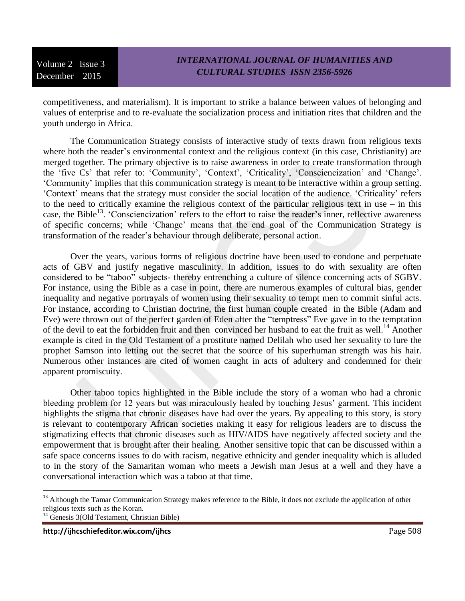competitiveness, and materialism). It is important to strike a balance between values of belonging and values of enterprise and to re-evaluate the socialization process and initiation rites that children and the youth undergo in Africa.

The Communication Strategy consists of interactive study of texts drawn from religious texts where both the reader's environmental context and the religious context (in this case, Christianity) are merged together. The primary objective is to raise awareness in order to create transformation through the 'five Cs' that refer to: 'Community', 'Context', 'Criticality', 'Consciencization' and 'Change'. 'Community' implies that this communication strategy is meant to be interactive within a group setting. 'Context' means that the strategy must consider the social location of the audience. 'Criticality' refers to the need to critically examine the religious context of the particular religious text in use – in this case, the Bible<sup>13</sup>. 'Consciencization' refers to the effort to raise the reader's inner, reflective awareness of specific concerns; while 'Change' means that the end goal of the Communication Strategy is transformation of the reader's behaviour through deliberate, personal action.

Over the years, various forms of religious doctrine have been used to condone and perpetuate acts of GBV and justify negative masculinity. In addition, issues to do with sexuality are often considered to be "taboo" subjects- thereby entrenching a culture of silence concerning acts of SGBV. For instance, using the Bible as a case in point, there are numerous examples of cultural bias, gender inequality and negative portrayals of women using their sexuality to tempt men to commit sinful acts. For instance, according to Christian doctrine, the first human couple created in the Bible (Adam and Eve) were thrown out of the perfect garden of Eden after the "temptress" Eve gave in to the temptation of the devil to eat the forbidden fruit and then convinced her husband to eat the fruit as well.<sup>14</sup> Another example is cited in the Old Testament of a prostitute named Delilah who used her sexuality to lure the prophet Samson into letting out the secret that the source of his superhuman strength was his hair. Numerous other instances are cited of women caught in acts of adultery and condemned for their apparent promiscuity.

Other taboo topics highlighted in the Bible include the story of a woman who had a chronic bleeding problem for 12 years but was miraculously healed by touching Jesus' garment. This incident highlights the stigma that chronic diseases have had over the years. By appealing to this story, is story is relevant to contemporary African societies making it easy for religious leaders are to discuss the stigmatizing effects that chronic diseases such as HIV/AIDS have negatively affected society and the empowerment that is brought after their healing. Another sensitive topic that can be discussed within a safe space concerns issues to do with racism, negative ethnicity and gender inequality which is alluded to in the story of the Samaritan woman who meets a Jewish man Jesus at a well and they have a conversational interaction which was a taboo at that time.

<sup>&</sup>lt;sup>13</sup> Although the Tamar Communication Strategy makes reference to the Bible, it does not exclude the application of other religious texts such as the Koran.

 $^{14}$  Genesis 3(Old Testament, Christian Bible)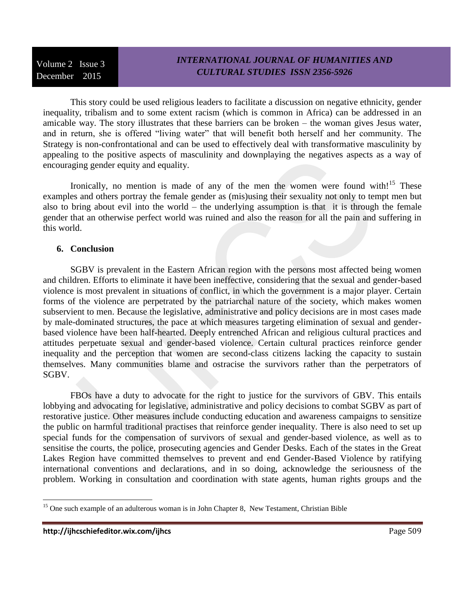# *INTERNATIONAL JOURNAL OF HUMANITIES AND CULTURAL STUDIES ISSN 2356-5926*

This story could be used religious leaders to facilitate a discussion on negative ethnicity, gender inequality, tribalism and to some extent racism (which is common in Africa) can be addressed in an amicable way. The story illustrates that these barriers can be broken – the woman gives Jesus water, and in return, she is offered "living water" that will benefit both herself and her community. The Strategy is non-confrontational and can be used to effectively deal with transformative masculinity by appealing to the positive aspects of masculinity and downplaying the negatives aspects as a way of encouraging gender equity and equality.

Ironically, no mention is made of any of the men the women were found with!<sup>15</sup> These examples and others portray the female gender as (mis)using their sexuality not only to tempt men but also to bring about evil into the world – the underlying assumption is that it is through the female gender that an otherwise perfect world was ruined and also the reason for all the pain and suffering in this world.

#### **6. Conclusion**

SGBV is prevalent in the Eastern African region with the persons most affected being women and children. Efforts to eliminate it have been ineffective, considering that the sexual and gender-based violence is most prevalent in situations of conflict, in which the government is a major player. Certain forms of the violence are perpetrated by the patriarchal nature of the society, which makes women subservient to men. Because the legislative, administrative and policy decisions are in most cases made by male-dominated structures, the pace at which measures targeting elimination of sexual and genderbased violence have been half-hearted. Deeply entrenched African and religious cultural practices and attitudes perpetuate sexual and gender-based violence. Certain cultural practices reinforce gender inequality and the perception that women are second-class citizens lacking the capacity to sustain themselves. Many communities blame and ostracise the survivors rather than the perpetrators of SGBV.

FBOs have a duty to advocate for the right to justice for the survivors of GBV. This entails lobbying and advocating for legislative, administrative and policy decisions to combat SGBV as part of restorative justice. Other measures include conducting education and awareness campaigns to sensitize the public on harmful traditional practises that reinforce gender inequality. There is also need to set up special funds for the compensation of survivors of sexual and gender-based violence, as well as to sensitise the courts, the police, prosecuting agencies and Gender Desks. Each of the states in the Great Lakes Region have committed themselves to prevent and end Gender-Based Violence by ratifying international conventions and declarations, and in so doing, acknowledge the seriousness of the problem. Working in consultation and coordination with state agents, human rights groups and the

<sup>&</sup>lt;sup>15</sup> One such example of an adulterous woman is in John Chapter 8, New Testament, Christian Bible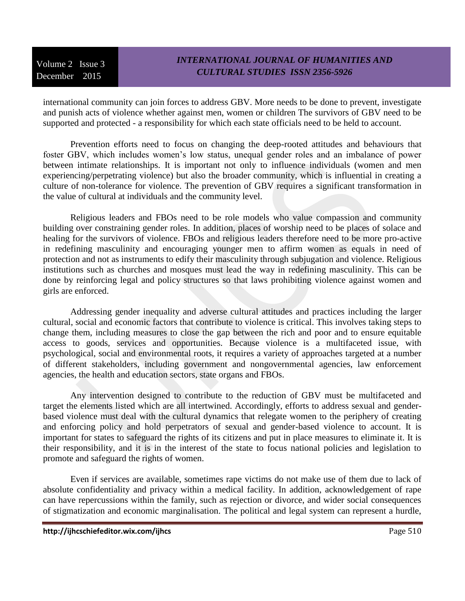### *INTERNATIONAL JOURNAL OF HUMANITIES AND CULTURAL STUDIES ISSN 2356-5926*

international community can join forces to address GBV. More needs to be done to prevent, investigate and punish acts of violence whether against men, women or children The survivors of GBV need to be supported and protected - a responsibility for which each state officials need to be held to account.

Prevention efforts need to focus on changing the deep-rooted attitudes and behaviours that foster GBV, which includes women's low status, unequal gender roles and an imbalance of power between intimate relationships. It is important not only to influence individuals (women and men experiencing/perpetrating violence) but also the broader community, which is influential in creating a culture of non-tolerance for violence. The prevention of GBV requires a significant transformation in the value of cultural at individuals and the community level.

Religious leaders and FBOs need to be role models who value compassion and community building over constraining gender roles. In addition, places of worship need to be places of solace and healing for the survivors of violence. FBOs and religious leaders therefore need to be more pro-active in redefining masculinity and encouraging younger men to affirm women as equals in need of protection and not as instruments to edify their masculinity through subjugation and violence. Religious institutions such as churches and mosques must lead the way in redefining masculinity. This can be done by reinforcing legal and policy structures so that laws prohibiting violence against women and girls are enforced.

Addressing gender inequality and adverse cultural attitudes and practices including the larger cultural, social and economic factors that contribute to violence is critical. This involves taking steps to change them, including measures to close the gap between the rich and poor and to ensure equitable access to goods, services and opportunities. Because violence is a multifaceted issue, with psychological, social and environmental roots, it requires a variety of approaches targeted at a number of different stakeholders, including government and nongovernmental agencies, law enforcement agencies, the health and education sectors, state organs and FBOs.

Any intervention designed to contribute to the reduction of GBV must be multifaceted and target the elements listed which are all intertwined. Accordingly, efforts to address sexual and genderbased violence must deal with the cultural dynamics that relegate women to the periphery of creating and enforcing policy and hold perpetrators of sexual and gender-based violence to account. It is important for states to safeguard the rights of its citizens and put in place measures to eliminate it. It is their responsibility, and it is in the interest of the state to focus national policies and legislation to promote and safeguard the rights of women.

Even if services are available, sometimes rape victims do not make use of them due to lack of absolute confidentiality and privacy within a medical facility. In addition, acknowledgement of rape can have repercussions within the family, such as rejection or divorce, and wider social consequences of stigmatization and economic marginalisation. The political and legal system can represent a hurdle,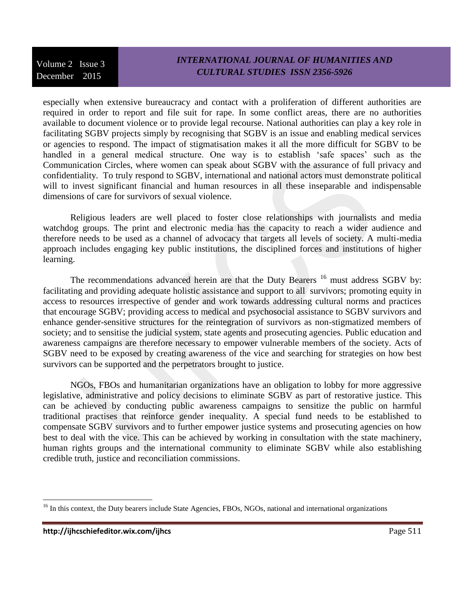### *INTERNATIONAL JOURNAL OF HUMANITIES AND CULTURAL STUDIES ISSN 2356-5926*

especially when extensive bureaucracy and contact with a proliferation of different authorities are required in order to report and file suit for rape. In some conflict areas, there are no authorities available to document violence or to provide legal recourse. National authorities can play a key role in facilitating SGBV projects simply by recognising that SGBV is an issue and enabling medical services or agencies to respond. The impact of stigmatisation makes it all the more difficult for SGBV to be handled in a general medical structure. One way is to establish 'safe spaces' such as the Communication Circles, where women can speak about SGBV with the assurance of full privacy and confidentiality. To truly respond to SGBV, international and national actors must demonstrate political will to invest significant financial and human resources in all these inseparable and indispensable dimensions of care for survivors of sexual violence.

Religious leaders are well placed to foster close relationships with journalists and media watchdog groups. The print and electronic media has the capacity to reach a wider audience and therefore needs to be used as a channel of advocacy that targets all levels of society. A multi-media approach includes engaging key public institutions, the disciplined forces and institutions of higher learning.

The recommendations advanced herein are that the Duty Bearers <sup>16</sup> must address SGBV by: facilitating and providing adequate holistic assistance and support to all survivors; promoting equity in access to resources irrespective of gender and work towards addressing cultural norms and practices that encourage SGBV; providing access to medical and psychosocial assistance to SGBV survivors and enhance gender-sensitive structures for the reintegration of survivors as non-stigmatized members of society; and to sensitise the judicial system, state agents and prosecuting agencies. Public education and awareness campaigns are therefore necessary to empower vulnerable members of the society. Acts of SGBV need to be exposed by creating awareness of the vice and searching for strategies on how best survivors can be supported and the perpetrators brought to justice.

NGOs, FBOs and humanitarian organizations have an obligation to lobby for more aggressive legislative, administrative and policy decisions to eliminate SGBV as part of restorative justice. This can be achieved by conducting public awareness campaigns to sensitize the public on harmful traditional practises that reinforce gender inequality. A special fund needs to be established to compensate SGBV survivors and to further empower justice systems and prosecuting agencies on how best to deal with the vice. This can be achieved by working in consultation with the state machinery, human rights groups and the international community to eliminate SGBV while also establishing credible truth, justice and reconciliation commissions.

<sup>&</sup>lt;sup>16</sup> In this context, the Duty bearers include State Agencies, FBOs, NGOs, national and international organizations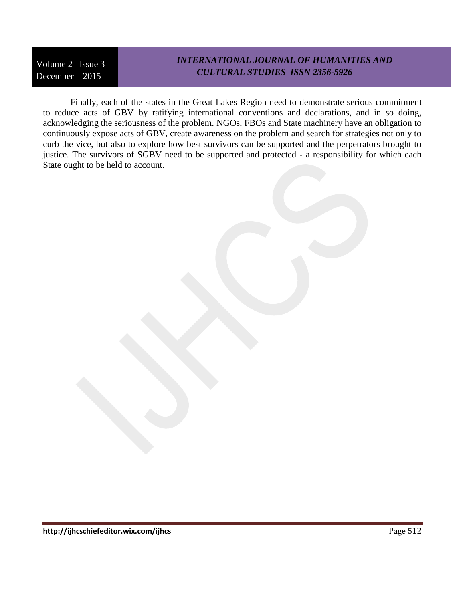# *INTERNATIONAL JOURNAL OF HUMANITIES AND CULTURAL STUDIES ISSN 2356-5926*

Finally, each of the states in the Great Lakes Region need to demonstrate serious commitment to reduce acts of GBV by ratifying international conventions and declarations, and in so doing, acknowledging the seriousness of the problem. NGOs, FBOs and State machinery have an obligation to continuously expose acts of GBV, create awareness on the problem and search for strategies not only to curb the vice, but also to explore how best survivors can be supported and the perpetrators brought to justice. The survivors of SGBV need to be supported and protected - a responsibility for which each State ought to be held to account.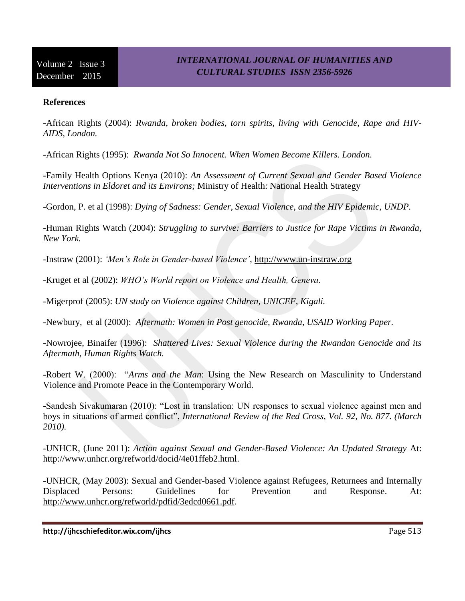### **References**

-African Rights (2004): *Rwanda, broken bodies, torn spirits, living with Genocide, Rape and HIV-AIDS, London.*

-African Rights (1995): *Rwanda Not So Innocent. When Women Become Killers. London.*

-Family Health Options Kenya (2010): *An Assessment of Current Sexual and Gender Based Violence Interventions in Eldoret and its Environs;* Ministry of Health: National Health Strategy

-Gordon, P. et al (1998): *Dying of Sadness: Gender, Sexual Violence, and the HIV Epidemic, UNDP.*

-Human Rights Watch (2004): *Struggling to survive: Barriers to Justice for Rape Victims in Rwanda, New York.*

-Instraw (2001): *'Men's Role in Gender-based Violence'*, [http://www.un-instraw.org](http://www.un-instraw.org/)

-Kruget et al (2002): *WHO's World report on Violence and Health, Geneva.*

-Migerprof (2005): *UN study on Violence against Children, UNICEF, Kigali.*

-Newbury, et al (2000): *Aftermath: Women in Post genocide, Rwanda, USAID Working Paper.*

-Nowrojee, Binaifer (1996): *Shattered Lives: Sexual Violence during the Rwandan Genocide and its Aftermath, Human Rights Watch.* 

-Robert W. (2000): "*Arms and the Man*: Using the New Research on Masculinity to Understand Violence and Promote Peace in the Contemporary World.

-Sandesh Sivakumaran (2010): "Lost in translation: UN responses to sexual violence against men and boys in situations of armed conflict", *International Review of the Red Cross, Vol. 92*, *No. 877. (March 2010).*

-UNHCR, (June 2011): *Action against Sexual and Gender-Based Violence: An Updated Strategy* At: [http://www.unhcr.org/refworld/docid/4e01ffeb2.html.](http://www.unhcr.org/refworld/docid/4e01ffeb2.html)

-UNHCR, (May 2003): Sexual and Gender-based Violence against Refugees, Returnees and Internally Displaced Persons: Guidelines for Prevention and Response. At: [http://www.unhcr.org/refworld/pdfid/3edcd0661.pdf.](http://www.unhcr.org/refworld/pdfid/3edcd0661.pdf)